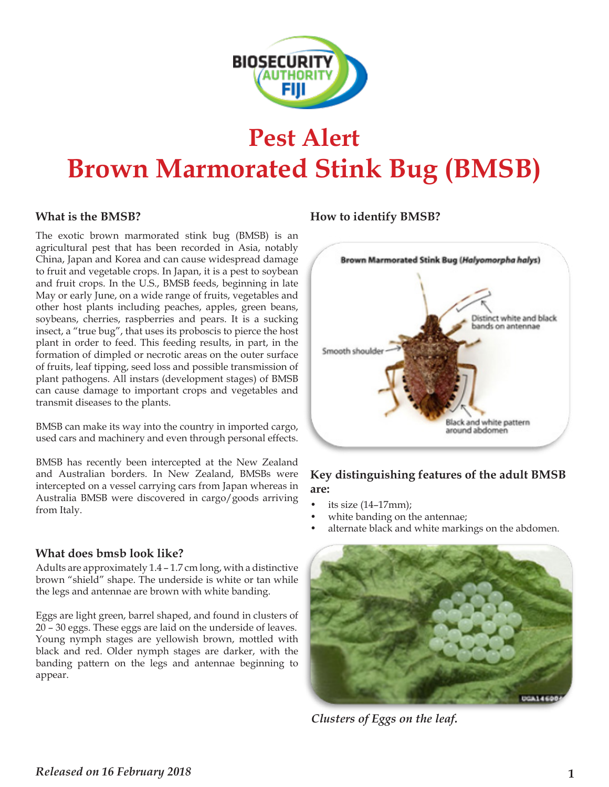

## **Pest Alert Brown Marmorated Stink Bug (BMSB)**

The exotic brown marmorated stink bug (BMSB) is an agricultural pest that has been recorded in Asia, notably China, Japan and Korea and can cause widespread damage to fruit and vegetable crops. In Japan, it is a pest to soybean and fruit crops. In the U.S., BMSB feeds, beginning in late May or early June, on a wide range of fruits, vegetables and other host plants including peaches, apples, green beans, soybeans, cherries, raspberries and pears. It is a sucking insect, a "true bug", that uses its proboscis to pierce the host plant in order to feed. This feeding results, in part, in the formation of dimpled or necrotic areas on the outer surface of fruits, leaf tipping, seed loss and possible transmission of plant pathogens. All instars (development stages) of BMSB can cause damage to important crops and vegetables and transmit diseases to the plants.

BMSB can make its way into the country in imported cargo, used cars and machinery and even through personal effects.

BMSB has recently been intercepted at the New Zealand and Australian borders. In New Zealand, BMSBs were intercepted on a vessel carrying cars from Japan whereas in Australia BMSB were discovered in cargo/goods arriving from Italy.  $\frac{1}{2}$  were allowed in early  $\frac{1}{2}$  goods and  $\frac{1}{2}$  its size (14–17mm);

#### **What does bmsb look like?**

Adults are approximately 1.4 – 1.7 cm long, with a distinctive brown "shield" shape. The underside is white or tan while the legs and antennae are brown with white banding.

Eggs are light green, barrel shaped, and found in clusters of 20 – 30 eggs. These eggs are laid on the underside of leaves. Young nymph stages are yellowish brown, mottled with black and red. Older nymph stages are darker, with the banding pattern on the legs and antennae beginning to appear.

#### **What is the BMSB? How to identify BMSB?**



#### **Key distinguishing features of the adult BMSB are:**

- 
- white banding on the antennae;
- alternate black and white markings on the abdomen.



*Clusters of Eggs on the leaf.*